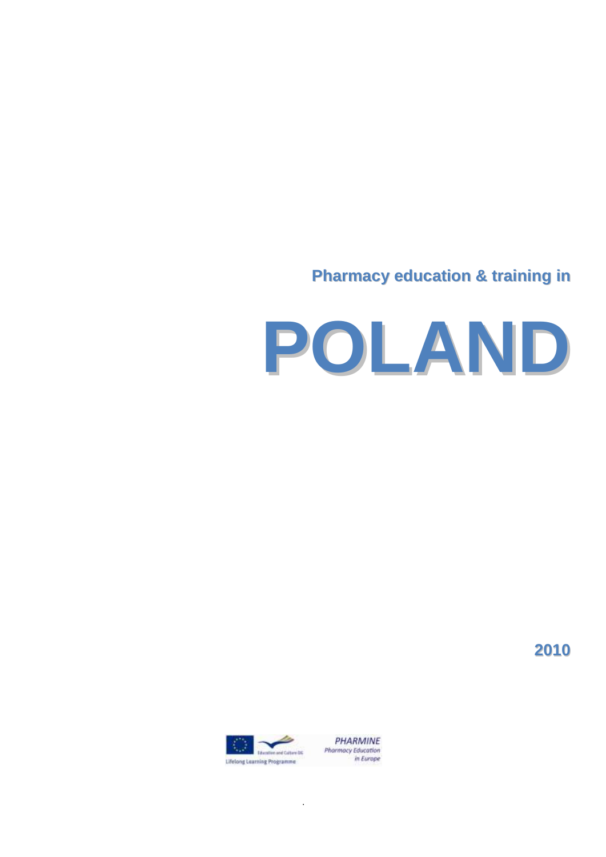# **Pharmacy education & training in**



**2010**



.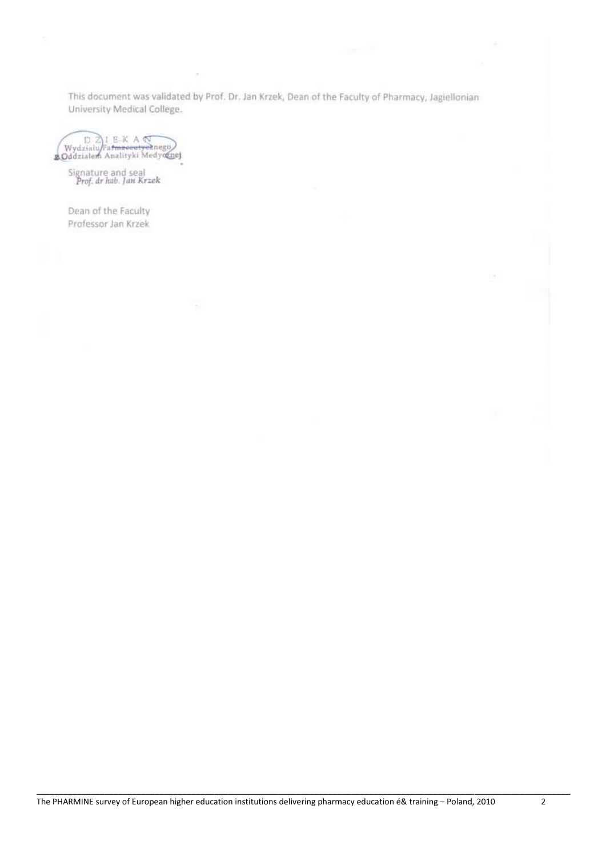This document was validated by Prof. Dr. Jan Krzek, Dean of the Faculty of Pharmacy, Jagiellonian University Medical College.

Wydzialu Fatmaseutysenego<br>20ddzialem Analityki Medycznej

Signature and seal<br>Prof. dr hab. Jan Krzek

Dean of the Faculty Professor Jan Krzek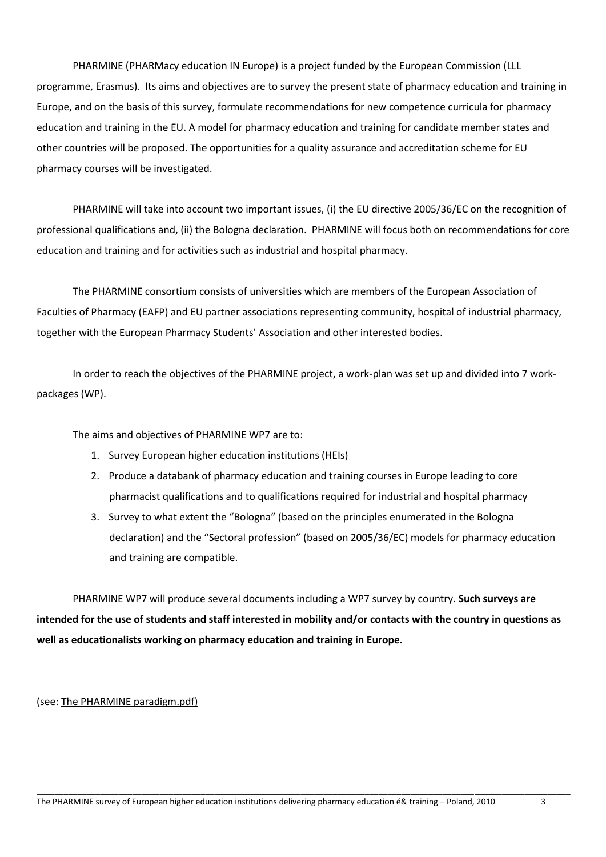PHARMINE (PHARMacy education IN Europe) is a project funded by the European Commission (LLL programme, Erasmus). Its aims and objectives are to survey the present state of pharmacy education and training in Europe, and on the basis of this survey, formulate recommendations for new competence curricula for pharmacy education and training in the EU. A model for pharmacy education and training for candidate member states and other countries will be proposed. The opportunities for a quality assurance and accreditation scheme for EU pharmacy courses will be investigated.

PHARMINE will take into account two important issues, (i) the EU directive 2005/36/EC on the recognition of professional qualifications and, (ii) the Bologna declaration. PHARMINE will focus both on recommendations for core education and training and for activities such as industrial and hospital pharmacy.

The PHARMINE consortium consists of universities which are members of the European Association of Faculties of Pharmacy (EAFP) and EU partner associations representing community, hospital of industrial pharmacy, together with the European Pharmacy Students' Association and other interested bodies.

In order to reach the objectives of the PHARMINE project, a work-plan was set up and divided into 7 workpackages (WP).

The aims and objectives of PHARMINE WP7 are to:

- 1. Survey European higher education institutions (HEIs)
- 2. Produce a databank of pharmacy education and training courses in Europe leading to core pharmacist qualifications and to qualifications required for industrial and hospital pharmacy
- 3. Survey to what extent the "Bologna" (based on the principles enumerated in the Bologna declaration) and the "Sectoral profession" (based on 2005/36/EC) models for pharmacy education and training are compatible.

PHARMINE WP7 will produce several documents including a WP7 survey by country. **Such surveys are intended for the use of students and staff interested in mobility and/or contacts with the country in questions as well as educationalists working on pharmacy education and training in Europe.** 

\_\_\_\_\_\_\_\_\_\_\_\_\_\_\_\_\_\_\_\_\_\_\_\_\_\_\_\_\_\_\_\_\_\_\_\_\_\_\_\_\_\_\_\_\_\_\_\_\_\_\_\_\_\_\_\_\_\_\_\_\_\_\_\_\_\_\_\_\_\_\_\_\_\_\_\_\_\_\_\_\_\_\_\_\_\_\_\_\_\_\_\_\_\_\_\_\_\_\_\_\_\_\_\_\_\_\_\_\_\_\_\_\_\_\_\_\_

(see: The PHARMINE paradigm.pdf)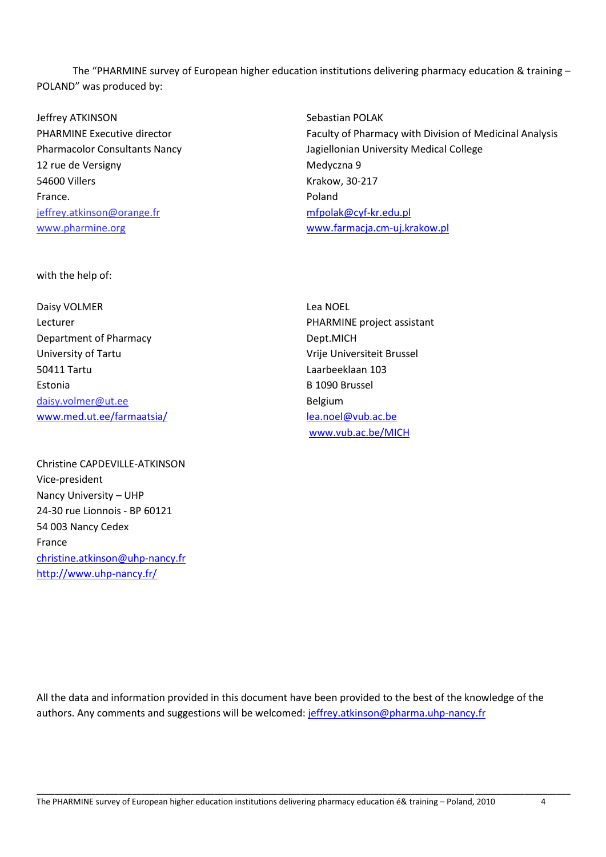The "PHARMINE survey of European higher education institutions delivering pharmacy education & training – POLAND" was produced by:

Jeffrey ATKINSON PHARMINE Executive director Pharmacolor Consultants Nancy 12 rue de Versigny 54600 Villers France. [jeffrey.atkinson@orange.fr](mailto:jeffrey.atkinson@orange.fr) www.pharmine.org

Sebastian POLAK Faculty of Pharmacy with Division of Medicinal Analysis Jagiellonian University Medical College Medyczna 9 Krakow, 30-217 Poland [mfpolak@cyf-kr.edu.pl](mailto:mfpolak@cyf-kr.edu.pl) [www.farmacja.cm-uj.krakow.pl](http://www.farmacja.cm-uj.krakow.pl/)

with the help of:

Daisy VOLMER Lecturer Department of Pharmacy University of Tartu 50411 Tartu Estonia [daisy.volmer@ut.ee](mailto:daisy.volmer@ut.ee) [www.med.ut.ee/farmaatsia/](http://www.med.ut.ee/farmaatsia/)

Christine CAPDEVILLE-ATKINSON Vice-president Nancy University – UHP 24-30 rue Lionnois - BP 60121 54 003 Nancy Cedex France [christine.atkinson@uhp-nancy.fr](mailto:christine.atkinson@uhp-nancy.fr) <http://www.uhp-nancy.fr/>

Lea NOEL PHARMINE project assistant Dept.MICH Vrije Universiteit Brussel Laarbeeklaan 103 B 1090 Brussel Belgium [lea.noel@vub.ac.be](mailto:lea.noel@vub.ac.be)  [www.vub.ac.be/MICH](http://www.vub.ac.be/MICH)

All the data and information provided in this document have been provided to the best of the knowledge of the authors. Any comments and suggestions will be welcomed[: jeffrey.atkinson@pharma.uhp-nancy.fr](mailto:jeffrey.atkinson@pharma.uhp-nancy.fr)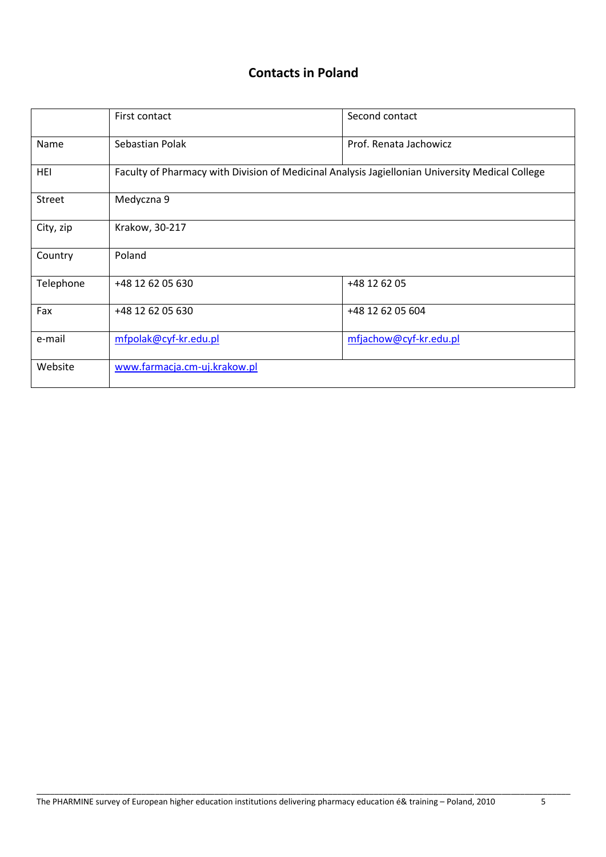### **Contacts in Poland**

|               | First contact                                                                                   | Second contact         |  |  |  |
|---------------|-------------------------------------------------------------------------------------------------|------------------------|--|--|--|
| Name          | Sebastian Polak                                                                                 | Prof. Renata Jachowicz |  |  |  |
| HEI           | Faculty of Pharmacy with Division of Medicinal Analysis Jagiellonian University Medical College |                        |  |  |  |
| <b>Street</b> | Medyczna 9                                                                                      |                        |  |  |  |
| City, zip     | Krakow, 30-217                                                                                  |                        |  |  |  |
| Country       | Poland                                                                                          |                        |  |  |  |
| Telephone     | +48 12 62 05 630                                                                                | +48 12 62 05           |  |  |  |
| Fax           | +48 12 62 05 630                                                                                | +48 12 62 05 604       |  |  |  |
| e-mail        | mfpolak@cyf-kr.edu.pl                                                                           | mfjachow@cyf-kr.edu.pl |  |  |  |
| Website       | www.farmacja.cm-uj.krakow.pl                                                                    |                        |  |  |  |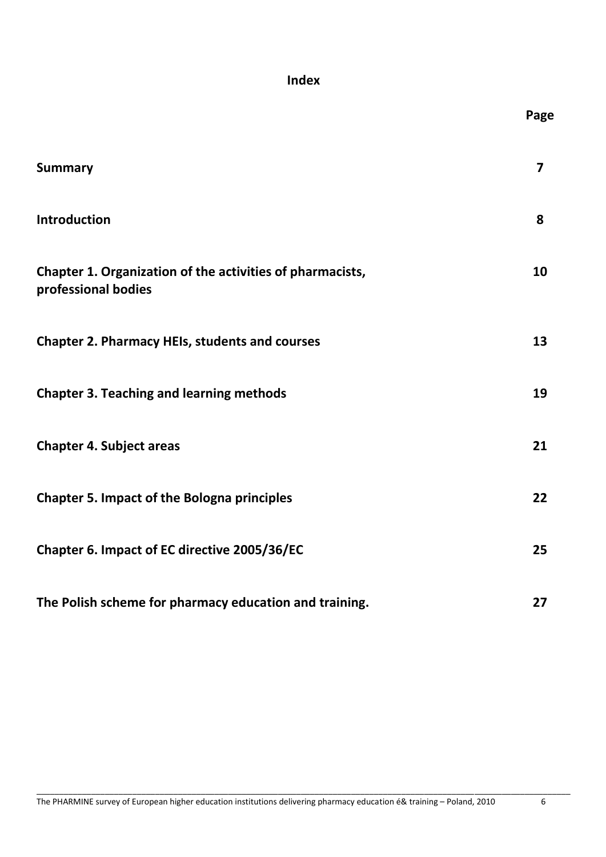### **Index**

|                                                                                  | Page                    |
|----------------------------------------------------------------------------------|-------------------------|
| <b>Summary</b>                                                                   | $\overline{\mathbf{z}}$ |
| Introduction                                                                     | 8                       |
| Chapter 1. Organization of the activities of pharmacists,<br>professional bodies | 10                      |
| <b>Chapter 2. Pharmacy HEIs, students and courses</b>                            | 13                      |
| <b>Chapter 3. Teaching and learning methods</b>                                  | 19                      |
| <b>Chapter 4. Subject areas</b>                                                  | 21                      |
| <b>Chapter 5. Impact of the Bologna principles</b>                               | 22                      |
| Chapter 6. Impact of EC directive 2005/36/EC                                     | 25                      |
| The Polish scheme for pharmacy education and training.                           | 27                      |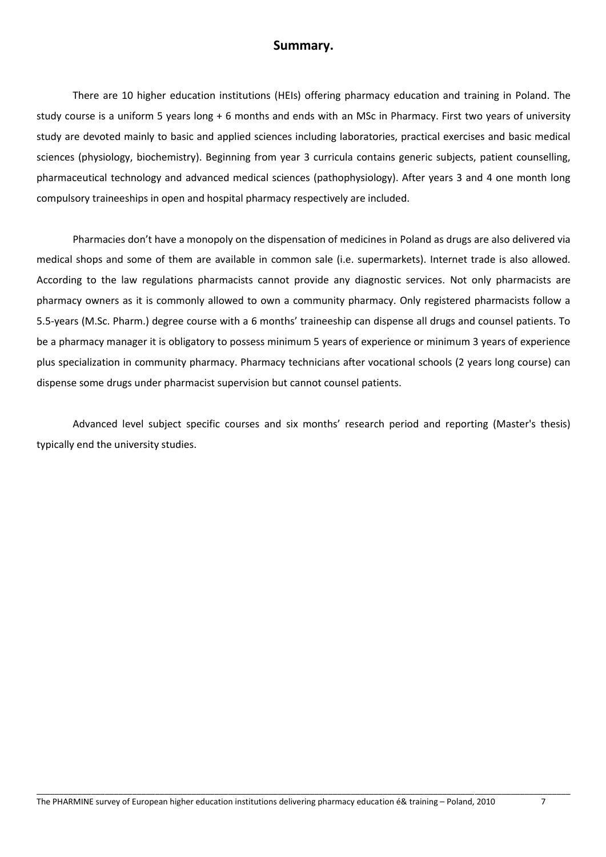#### **Summary.**

There are 10 higher education institutions (HEIs) offering pharmacy education and training in Poland. The study course is a uniform 5 years long + 6 months and ends with an MSc in Pharmacy. First two years of university study are devoted mainly to basic and applied sciences including laboratories, practical exercises and basic medical sciences (physiology, biochemistry). Beginning from year 3 curricula contains generic subjects, patient counselling, pharmaceutical technology and advanced medical sciences (pathophysiology). After years 3 and 4 one month long compulsory traineeships in open and hospital pharmacy respectively are included.

Pharmacies don't have a monopoly on the dispensation of medicines in Poland as drugs are also delivered via medical shops and some of them are available in common sale (i.e. supermarkets). Internet trade is also allowed. According to the law regulations pharmacists cannot provide any diagnostic services. Not only pharmacists are pharmacy owners as it is commonly allowed to own a community pharmacy. Only registered pharmacists follow a 5.5-years (M.Sc. Pharm.) degree course with a 6 months' traineeship can dispense all drugs and counsel patients. To be a pharmacy manager it is obligatory to possess minimum 5 years of experience or minimum 3 years of experience plus specialization in community pharmacy. Pharmacy technicians after vocational schools (2 years long course) can dispense some drugs under pharmacist supervision but cannot counsel patients.

Advanced level subject specific courses and six months' research period and reporting (Master's thesis) typically end the university studies.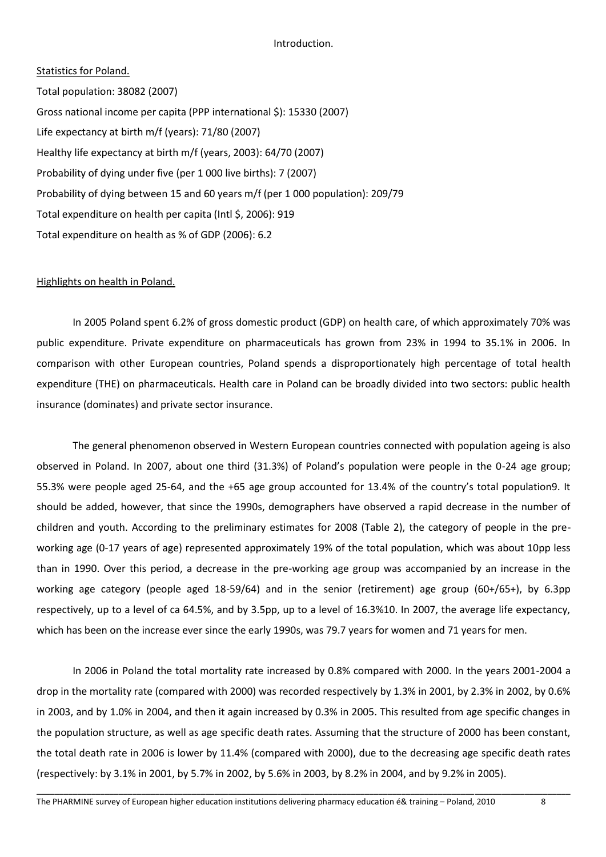#### Introduction.

#### Statistics for Poland.

Total population: 38082 (2007) Gross national income per capita (PPP international \$): 15330 (2007) Life expectancy at birth m/f (years): 71/80 (2007) Healthy life expectancy at birth m/f (years, 2003): 64/70 (2007) Probability of dying under five (per 1 000 live births): 7 (2007) Probability of dying between 15 and 60 years m/f (per 1 000 population): 209/79 Total expenditure on health per capita (Intl \$, 2006): 919 Total expenditure on health as % of GDP (2006): 6.2

#### Highlights on health in Poland.

In 2005 Poland spent 6.2% of gross domestic product (GDP) on health care, of which approximately 70% was public expenditure. Private expenditure on pharmaceuticals has grown from 23% in 1994 to 35.1% in 2006. In comparison with other European countries, Poland spends a disproportionately high percentage of total health expenditure (THE) on pharmaceuticals. Health care in Poland can be broadly divided into two sectors: public health insurance (dominates) and private sector insurance.

The general phenomenon observed in Western European countries connected with population ageing is also observed in Poland. In 2007, about one third (31.3%) of Poland's population were people in the 0-24 age group; 55.3% were people aged 25-64, and the +65 age group accounted for 13.4% of the country's total population9. It should be added, however, that since the 1990s, demographers have observed a rapid decrease in the number of children and youth. According to the preliminary estimates for 2008 (Table 2), the category of people in the preworking age (0-17 years of age) represented approximately 19% of the total population, which was about 10pp less than in 1990. Over this period, a decrease in the pre-working age group was accompanied by an increase in the working age category (people aged 18-59/64) and in the senior (retirement) age group (60+/65+), by 6.3pp respectively, up to a level of ca 64.5%, and by 3.5pp, up to a level of 16.3%10. In 2007, the average life expectancy, which has been on the increase ever since the early 1990s, was 79.7 years for women and 71 years for men.

In 2006 in Poland the total mortality rate increased by 0.8% compared with 2000. In the years 2001-2004 a drop in the mortality rate (compared with 2000) was recorded respectively by 1.3% in 2001, by 2.3% in 2002, by 0.6% in 2003, and by 1.0% in 2004, and then it again increased by 0.3% in 2005. This resulted from age specific changes in the population structure, as well as age specific death rates. Assuming that the structure of 2000 has been constant, the total death rate in 2006 is lower by 11.4% (compared with 2000), due to the decreasing age specific death rates (respectively: by 3.1% in 2001, by 5.7% in 2002, by 5.6% in 2003, by 8.2% in 2004, and by 9.2% in 2005).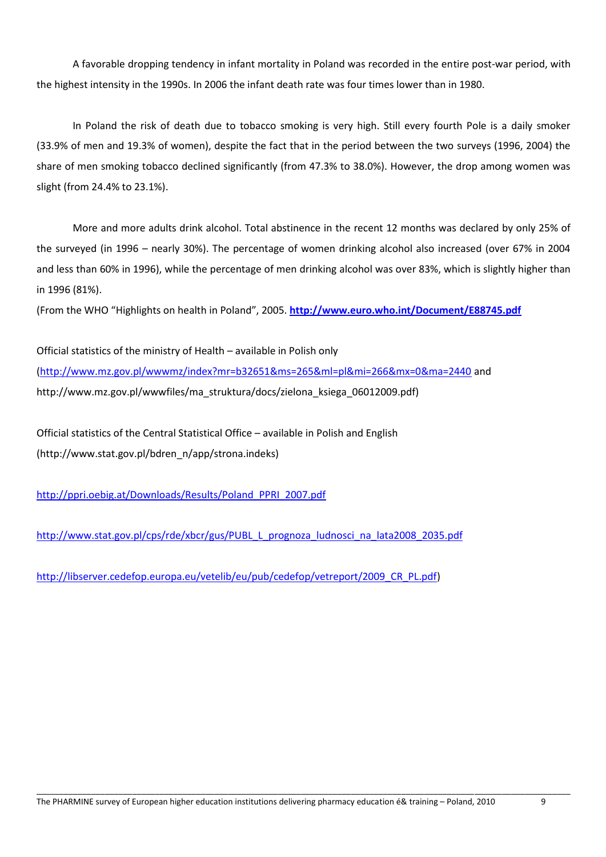A favorable dropping tendency in infant mortality in Poland was recorded in the entire post-war period, with the highest intensity in the 1990s. In 2006 the infant death rate was four times lower than in 1980.

In Poland the risk of death due to tobacco smoking is very high. Still every fourth Pole is a daily smoker (33.9% of men and 19.3% of women), despite the fact that in the period between the two surveys (1996, 2004) the share of men smoking tobacco declined significantly (from 47.3% to 38.0%). However, the drop among women was slight (from 24.4% to 23.1%).

More and more adults drink alcohol. Total abstinence in the recent 12 months was declared by only 25% of the surveyed (in 1996 – nearly 30%). The percentage of women drinking alcohol also increased (over 67% in 2004 and less than 60% in 1996), while the percentage of men drinking alcohol was over 83%, which is slightly higher than in 1996 (81%).

(From the WHO "Highlights on health in Poland", 2005. **<http://www.euro.who.int/Document/E88745.pdf>**

Official statistics of the ministry of Health – available in Polish only [\(http://www.mz.gov.pl/wwwmz/index?mr=b32651&ms=265&ml=pl&mi=266&mx=0&ma=2440](http://www.mz.gov.pl/wwwmz/index?mr=b32651&ms=265&ml=pl&mi=266&mx=0&ma=2440) and http://www.mz.gov.pl/wwwfiles/ma\_struktura/docs/zielona\_ksiega\_06012009.pdf)

Official statistics of the Central Statistical Office – available in Polish and English (http://www.stat.gov.pl/bdren\_n/app/strona.indeks)

[http://ppri.oebig.at/Downloads/Results/Poland\\_PPRI\\_2007.pdf](http://ppri.oebig.at/Downloads/Results/Poland_PPRI_2007.pdf)

[http://www.stat.gov.pl/cps/rde/xbcr/gus/PUBL\\_L\\_prognoza\\_ludnosci\\_na\\_lata2008\\_2035.pdf](http://www.stat.gov.pl/cps/rde/xbcr/gus/PUBL_L_prognoza_ludnosci_na_lata2008_2035.pdf)

[http://libserver.cedefop.europa.eu/vetelib/eu/pub/cedefop/vetreport/2009\\_CR\\_PL.pdf\)](http://libserver.cedefop.europa.eu/vetelib/eu/pub/cedefop/vetreport/2009_CR_PL.pdf)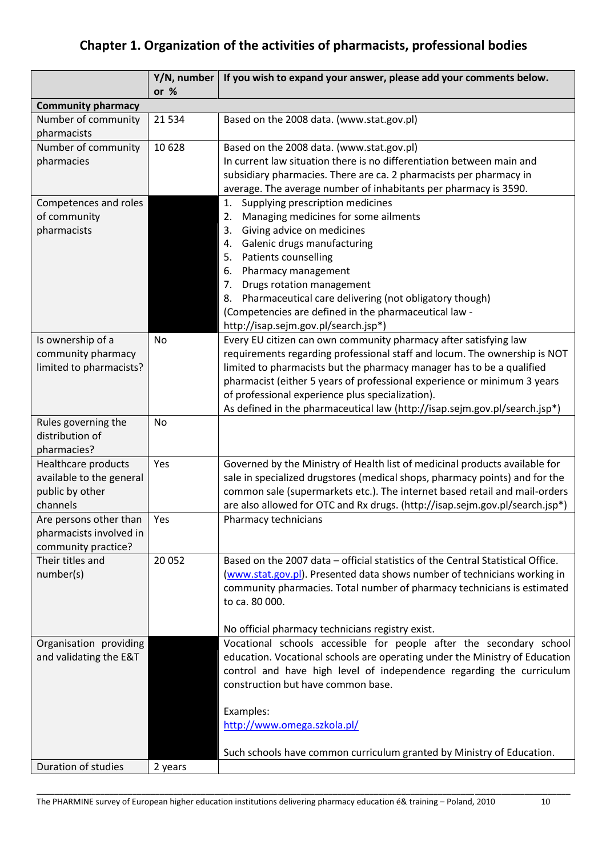## **Chapter 1. Organization of the activities of pharmacists, professional bodies**

|                                        | $Y/N$ , number<br>or $%$ | If you wish to expand your answer, please add your comments below.              |
|----------------------------------------|--------------------------|---------------------------------------------------------------------------------|
| <b>Community pharmacy</b>              |                          |                                                                                 |
| Number of community                    | 21 5 34                  | Based on the 2008 data. (www.stat.gov.pl)                                       |
| pharmacists                            |                          |                                                                                 |
| Number of community                    | 10 6 28                  | Based on the 2008 data. (www.stat.gov.pl)                                       |
| pharmacies                             |                          | In current law situation there is no differentiation between main and           |
|                                        |                          | subsidiary pharmacies. There are ca. 2 pharmacists per pharmacy in              |
|                                        |                          | average. The average number of inhabitants per pharmacy is 3590.                |
| Competences and roles                  |                          | Supplying prescription medicines<br>1.                                          |
| of community                           |                          | Managing medicines for some ailments<br>2.                                      |
| pharmacists                            |                          | Giving advice on medicines<br>3.                                                |
|                                        |                          | Galenic drugs manufacturing<br>4.                                               |
|                                        |                          | Patients counselling<br>5.                                                      |
|                                        |                          | Pharmacy management<br>6.                                                       |
|                                        |                          | Drugs rotation management<br>7.                                                 |
|                                        |                          | Pharmaceutical care delivering (not obligatory though)<br>8.                    |
|                                        |                          | (Competencies are defined in the pharmaceutical law -                           |
|                                        |                          | http://isap.sejm.gov.pl/search.jsp*)                                            |
| Is ownership of a                      | No                       | Every EU citizen can own community pharmacy after satisfying law                |
| community pharmacy                     |                          | requirements regarding professional staff and locum. The ownership is NOT       |
| limited to pharmacists?                |                          | limited to pharmacists but the pharmacy manager has to be a qualified           |
|                                        |                          | pharmacist (either 5 years of professional experience or minimum 3 years        |
|                                        |                          | of professional experience plus specialization).                                |
|                                        | <b>No</b>                | As defined in the pharmaceutical law (http://isap.sejm.gov.pl/search.jsp*)      |
| Rules governing the<br>distribution of |                          |                                                                                 |
| pharmacies?                            |                          |                                                                                 |
| Healthcare products                    | Yes                      | Governed by the Ministry of Health list of medicinal products available for     |
| available to the general               |                          | sale in specialized drugstores (medical shops, pharmacy points) and for the     |
| public by other                        |                          | common sale (supermarkets etc.). The internet based retail and mail-orders      |
| channels                               |                          | are also allowed for OTC and Rx drugs. (http://isap.sejm.gov.pl/search.jsp*)    |
| Are persons other than                 | Yes                      | Pharmacy technicians                                                            |
| pharmacists involved in                |                          |                                                                                 |
| community practice?                    |                          |                                                                                 |
| Their titles and                       | 20 052                   | Based on the 2007 data - official statistics of the Central Statistical Office. |
| number(s)                              |                          | (www.stat.gov.pl). Presented data shows number of technicians working in        |
|                                        |                          | community pharmacies. Total number of pharmacy technicians is estimated         |
|                                        |                          | to ca. 80 000.                                                                  |
|                                        |                          |                                                                                 |
|                                        |                          | No official pharmacy technicians registry exist.                                |
| Organisation providing                 |                          | Vocational schools accessible for people after the secondary school             |
| and validating the E&T                 |                          | education. Vocational schools are operating under the Ministry of Education     |
|                                        |                          | control and have high level of independence regarding the curriculum            |
|                                        |                          | construction but have common base.                                              |
|                                        |                          |                                                                                 |
|                                        |                          | Examples:                                                                       |
|                                        |                          | http://www.omega.szkola.pl/                                                     |
|                                        |                          |                                                                                 |
|                                        |                          | Such schools have common curriculum granted by Ministry of Education.           |
| Duration of studies                    | 2 years                  |                                                                                 |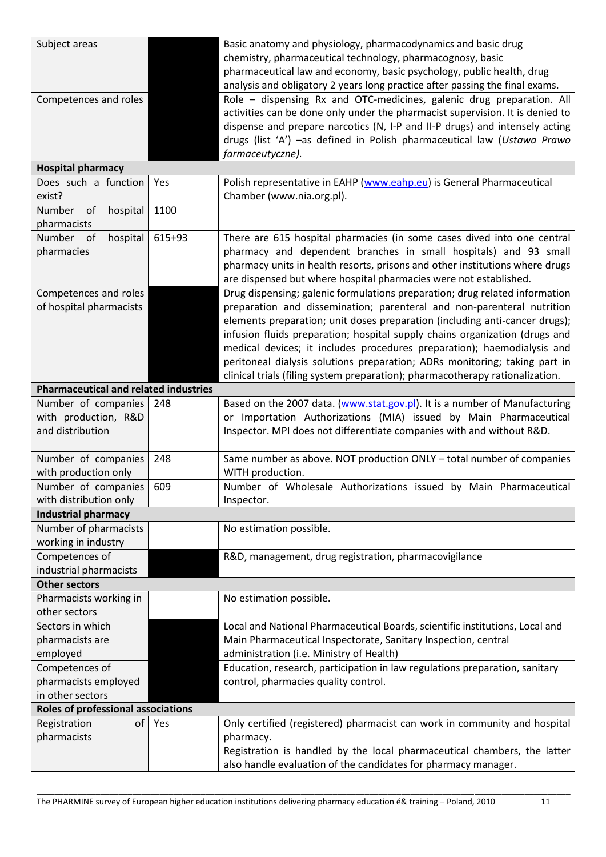| Subject areas                                |        | Basic anatomy and physiology, pharmacodynamics and basic drug                 |
|----------------------------------------------|--------|-------------------------------------------------------------------------------|
|                                              |        | chemistry, pharmaceutical technology, pharmacognosy, basic                    |
|                                              |        | pharmaceutical law and economy, basic psychology, public health, drug         |
|                                              |        | analysis and obligatory 2 years long practice after passing the final exams.  |
| Competences and roles                        |        | Role - dispensing Rx and OTC-medicines, galenic drug preparation. All         |
|                                              |        | activities can be done only under the pharmacist supervision. It is denied to |
|                                              |        | dispense and prepare narcotics (N, I-P and II-P drugs) and intensely acting   |
|                                              |        | drugs (list 'A') -as defined in Polish pharmaceutical law (Ustawa Prawo       |
|                                              |        | farmaceutyczne).                                                              |
| <b>Hospital pharmacy</b>                     |        |                                                                               |
| Does such a function                         | Yes    | Polish representative in EAHP (www.eahp.eu) is General Pharmaceutical         |
| exist?                                       |        | Chamber (www.nia.org.pl).                                                     |
| Number<br>hospital<br>of<br>pharmacists      | 1100   |                                                                               |
| Number of<br>hospital                        | 615+93 | There are 615 hospital pharmacies (in some cases dived into one central       |
| pharmacies                                   |        | pharmacy and dependent branches in small hospitals) and 93 small              |
|                                              |        | pharmacy units in health resorts, prisons and other institutions where drugs  |
|                                              |        | are dispensed but where hospital pharmacies were not established.             |
| Competences and roles                        |        | Drug dispensing; galenic formulations preparation; drug related information   |
| of hospital pharmacists                      |        | preparation and dissemination; parenteral and non-parenteral nutrition        |
|                                              |        | elements preparation; unit doses preparation (including anti-cancer drugs);   |
|                                              |        | infusion fluids preparation; hospital supply chains organization (drugs and   |
|                                              |        | medical devices; it includes procedures preparation); haemodialysis and       |
|                                              |        | peritoneal dialysis solutions preparation; ADRs monitoring; taking part in    |
|                                              |        | clinical trials (filing system preparation); pharmacotherapy rationalization. |
| <b>Pharmaceutical and related industries</b> |        |                                                                               |
| Number of companies                          | 248    | Based on the 2007 data. (www.stat.gov.pl). It is a number of Manufacturing    |
| with production, R&D                         |        | or Importation Authorizations (MIA) issued by Main Pharmaceutical             |
| and distribution                             |        | Inspector. MPI does not differentiate companies with and without R&D.         |
| Number of companies                          | 248    | Same number as above. NOT production ONLY - total number of companies         |
| with production only                         |        | WITH production.                                                              |
| Number of companies                          | 609    | Number of Wholesale Authorizations issued by Main Pharmaceutical              |
| with distribution only                       |        | Inspector.                                                                    |
| <b>Industrial pharmacy</b>                   |        |                                                                               |
| Number of pharmacists                        |        | No estimation possible.                                                       |
| working in industry                          |        |                                                                               |
| Competences of                               |        | R&D, management, drug registration, pharmacovigilance                         |
| industrial pharmacists                       |        |                                                                               |
| <b>Other sectors</b>                         |        |                                                                               |
| Pharmacists working in<br>other sectors      |        | No estimation possible.                                                       |
| Sectors in which                             |        | Local and National Pharmaceutical Boards, scientific institutions, Local and  |
| pharmacists are                              |        | Main Pharmaceutical Inspectorate, Sanitary Inspection, central                |
| employed                                     |        | administration (i.e. Ministry of Health)                                      |
| Competences of                               |        | Education, research, participation in law regulations preparation, sanitary   |
| pharmacists employed                         |        | control, pharmacies quality control.                                          |
| in other sectors                             |        |                                                                               |
| <b>Roles of professional associations</b>    |        |                                                                               |
| of<br>Registration                           | Yes    | Only certified (registered) pharmacist can work in community and hospital     |
| pharmacists                                  |        | pharmacy.                                                                     |
|                                              |        | Registration is handled by the local pharmaceutical chambers, the latter      |
|                                              |        | also handle evaluation of the candidates for pharmacy manager.                |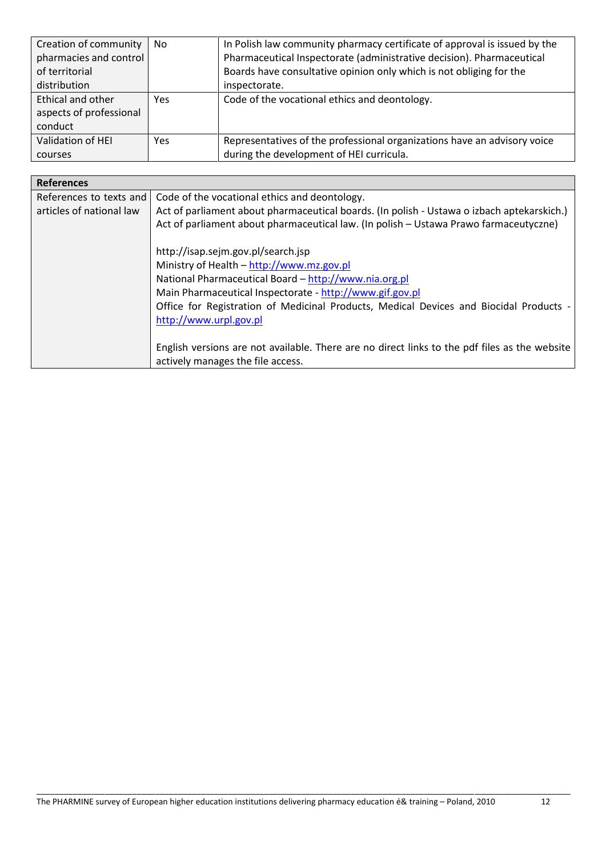| Creation of community   | No.  | In Polish law community pharmacy certificate of approval is issued by the |
|-------------------------|------|---------------------------------------------------------------------------|
| pharmacies and control  |      | Pharmaceutical Inspectorate (administrative decision). Pharmaceutical     |
| of territorial          |      | Boards have consultative opinion only which is not obliging for the       |
| distribution            |      | inspectorate.                                                             |
| Ethical and other       | Yes. | Code of the vocational ethics and deontology.                             |
| aspects of professional |      |                                                                           |
| conduct                 |      |                                                                           |
| Validation of HEI       | Yes  | Representatives of the professional organizations have an advisory voice  |
| courses                 |      | during the development of HEI curricula.                                  |

| <b>References</b>        |                                                                                                                                                                                     |
|--------------------------|-------------------------------------------------------------------------------------------------------------------------------------------------------------------------------------|
| References to texts and  | Code of the vocational ethics and deontology.                                                                                                                                       |
| articles of national law | Act of parliament about pharmaceutical boards. (In polish - Ustawa o izbach aptekarskich.)<br>Act of parliament about pharmaceutical law. (In polish - Ustawa Prawo farmaceutyczne) |
|                          | http://isap.sejm.gov.pl/search.jsp                                                                                                                                                  |
|                          | Ministry of Health - http://www.mz.gov.pl                                                                                                                                           |
|                          | National Pharmaceutical Board - http://www.nia.org.pl                                                                                                                               |
|                          | Main Pharmaceutical Inspectorate - http://www.gif.gov.pl                                                                                                                            |
|                          | Office for Registration of Medicinal Products, Medical Devices and Biocidal Products -                                                                                              |
|                          | http://www.urpl.gov.pl                                                                                                                                                              |
|                          | English versions are not available. There are no direct links to the pdf files as the website                                                                                       |
|                          | actively manages the file access.                                                                                                                                                   |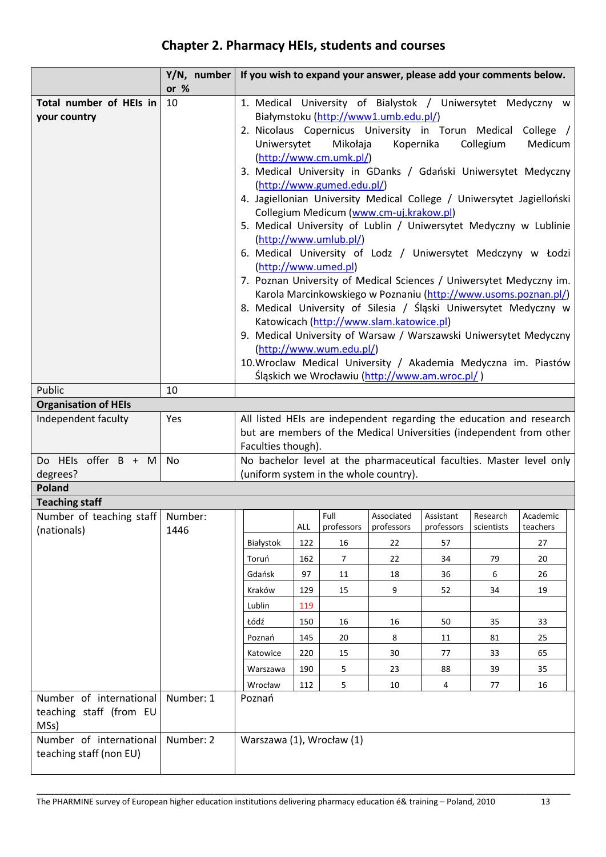## **Chapter 2. Pharmacy HEIs, students and courses**

|                                                            | Y/N, number | If you wish to expand your answer, please add your comments below.                                                                                                                                                                                                                                                                                                                                                                                                                                                                                                                                                                                                                                                                                                                                                                                                                                                                                                                                                                                         |            |                    |                                        |                         |                        |                                                                                                                                             |
|------------------------------------------------------------|-------------|------------------------------------------------------------------------------------------------------------------------------------------------------------------------------------------------------------------------------------------------------------------------------------------------------------------------------------------------------------------------------------------------------------------------------------------------------------------------------------------------------------------------------------------------------------------------------------------------------------------------------------------------------------------------------------------------------------------------------------------------------------------------------------------------------------------------------------------------------------------------------------------------------------------------------------------------------------------------------------------------------------------------------------------------------------|------------|--------------------|----------------------------------------|-------------------------|------------------------|---------------------------------------------------------------------------------------------------------------------------------------------|
|                                                            | or $%$      |                                                                                                                                                                                                                                                                                                                                                                                                                                                                                                                                                                                                                                                                                                                                                                                                                                                                                                                                                                                                                                                            |            |                    |                                        |                         |                        |                                                                                                                                             |
| Total number of HEIs in<br>your country                    | 10          | 1. Medical University of Bialystok / Uniwersytet Medyczny w<br>Białymstoku (http://www1.umb.edu.pl/)                                                                                                                                                                                                                                                                                                                                                                                                                                                                                                                                                                                                                                                                                                                                                                                                                                                                                                                                                       |            |                    |                                        |                         |                        |                                                                                                                                             |
|                                                            |             | 2. Nicolaus Copernicus University in Torun Medical College /<br>Uniwersytet<br>Mikołaja<br>Kopernika<br>Collegium<br>Medicum<br>$(\frac{http://www.cm.umk.pl/}{$<br>3. Medical University in GDanks / Gdański Uniwersytet Medyczny<br>(http://www.gumed.edu.pl/)<br>4. Jagiellonian University Medical College / Uniwersytet Jagielloński<br>Collegium Medicum (www.cm-uj.krakow.pl)<br>5. Medical University of Lublin / Uniwersytet Medyczny w Lublinie<br>(http://www.umlub.pl/)<br>6. Medical University of Lodz / Uniwersytet Medczyny w Łodzi<br>(http://www.umed.pl)<br>7. Poznan University of Medical Sciences / Uniwersytet Medyczny im.<br>Karola Marcinkowskiego w Poznaniu (http://www.usoms.poznan.pl/)<br>8. Medical University of Silesia / Śląski Uniwersytet Medyczny w<br>Katowicach (http://www.slam.katowice.pl)<br>9. Medical University of Warsaw / Warszawski Uniwersytet Medyczny<br>(http://www.wum.edu.pl/)<br>10. Wroclaw Medical University / Akademia Medyczna im. Piastów<br>Śląskich we Wrocławiu (http://www.am.wroc.pl/) |            |                    |                                        |                         |                        |                                                                                                                                             |
| Public                                                     | 10          |                                                                                                                                                                                                                                                                                                                                                                                                                                                                                                                                                                                                                                                                                                                                                                                                                                                                                                                                                                                                                                                            |            |                    |                                        |                         |                        |                                                                                                                                             |
| <b>Organisation of HEIs</b>                                |             |                                                                                                                                                                                                                                                                                                                                                                                                                                                                                                                                                                                                                                                                                                                                                                                                                                                                                                                                                                                                                                                            |            |                    |                                        |                         |                        |                                                                                                                                             |
| Independent faculty                                        | Yes         | Faculties though).                                                                                                                                                                                                                                                                                                                                                                                                                                                                                                                                                                                                                                                                                                                                                                                                                                                                                                                                                                                                                                         |            |                    |                                        |                         |                        | All listed HEIs are independent regarding the education and research<br>but are members of the Medical Universities (independent from other |
| Do HEIs offer B + M<br>degrees?                            | No          |                                                                                                                                                                                                                                                                                                                                                                                                                                                                                                                                                                                                                                                                                                                                                                                                                                                                                                                                                                                                                                                            |            |                    | (uniform system in the whole country). |                         |                        | No bachelor level at the pharmaceutical faculties. Master level only                                                                        |
| Poland                                                     |             |                                                                                                                                                                                                                                                                                                                                                                                                                                                                                                                                                                                                                                                                                                                                                                                                                                                                                                                                                                                                                                                            |            |                    |                                        |                         |                        |                                                                                                                                             |
| <b>Teaching staff</b>                                      |             |                                                                                                                                                                                                                                                                                                                                                                                                                                                                                                                                                                                                                                                                                                                                                                                                                                                                                                                                                                                                                                                            |            |                    |                                        |                         |                        |                                                                                                                                             |
| Number of teaching staff   Number:<br>(nationals)          | 1446        |                                                                                                                                                                                                                                                                                                                                                                                                                                                                                                                                                                                                                                                                                                                                                                                                                                                                                                                                                                                                                                                            | <b>ALL</b> | Full<br>professors | Associated<br>professors               | Assistant<br>professors | Research<br>scientists | Academic<br>teachers                                                                                                                        |
|                                                            |             | Białystok                                                                                                                                                                                                                                                                                                                                                                                                                                                                                                                                                                                                                                                                                                                                                                                                                                                                                                                                                                                                                                                  | 122        | 16                 | 22                                     | 57                      |                        | 27                                                                                                                                          |
|                                                            |             | Toruń                                                                                                                                                                                                                                                                                                                                                                                                                                                                                                                                                                                                                                                                                                                                                                                                                                                                                                                                                                                                                                                      | 162        | $\overline{7}$     | 22                                     | 34                      | 79                     | 20                                                                                                                                          |
|                                                            |             | Gdańsk                                                                                                                                                                                                                                                                                                                                                                                                                                                                                                                                                                                                                                                                                                                                                                                                                                                                                                                                                                                                                                                     | 97         | 11                 | 18                                     | 36                      | 6                      | 26                                                                                                                                          |
|                                                            |             | Kraków                                                                                                                                                                                                                                                                                                                                                                                                                                                                                                                                                                                                                                                                                                                                                                                                                                                                                                                                                                                                                                                     | 129        | 15                 | 9                                      | 52                      | 34                     | 19                                                                                                                                          |
|                                                            |             | Lublin                                                                                                                                                                                                                                                                                                                                                                                                                                                                                                                                                                                                                                                                                                                                                                                                                                                                                                                                                                                                                                                     | 119        |                    |                                        |                         |                        |                                                                                                                                             |
|                                                            |             | Łódź                                                                                                                                                                                                                                                                                                                                                                                                                                                                                                                                                                                                                                                                                                                                                                                                                                                                                                                                                                                                                                                       | 150        | 16                 | 16                                     | 50                      | 35                     | 33                                                                                                                                          |
|                                                            |             | Poznań                                                                                                                                                                                                                                                                                                                                                                                                                                                                                                                                                                                                                                                                                                                                                                                                                                                                                                                                                                                                                                                     | 145        | 20                 | 8                                      | 11                      | 81                     | 25                                                                                                                                          |
|                                                            |             | Katowice                                                                                                                                                                                                                                                                                                                                                                                                                                                                                                                                                                                                                                                                                                                                                                                                                                                                                                                                                                                                                                                   | 220        | 15                 | $30\,$                                 | 77                      | 33                     | 65                                                                                                                                          |
|                                                            |             | Warszawa                                                                                                                                                                                                                                                                                                                                                                                                                                                                                                                                                                                                                                                                                                                                                                                                                                                                                                                                                                                                                                                   | 190        | 5                  | 23                                     | 88                      | 39                     | 35                                                                                                                                          |
|                                                            |             | Wrocław                                                                                                                                                                                                                                                                                                                                                                                                                                                                                                                                                                                                                                                                                                                                                                                                                                                                                                                                                                                                                                                    | 112        | 5                  | 10                                     | 4                       | 77                     | 16                                                                                                                                          |
| Number of international<br>teaching staff (from EU<br>MSs) | Number: 1   | Poznań                                                                                                                                                                                                                                                                                                                                                                                                                                                                                                                                                                                                                                                                                                                                                                                                                                                                                                                                                                                                                                                     |            |                    |                                        |                         |                        |                                                                                                                                             |
| Number of international<br>teaching staff (non EU)         | Number: 2   | Warszawa (1), Wrocław (1)                                                                                                                                                                                                                                                                                                                                                                                                                                                                                                                                                                                                                                                                                                                                                                                                                                                                                                                                                                                                                                  |            |                    |                                        |                         |                        |                                                                                                                                             |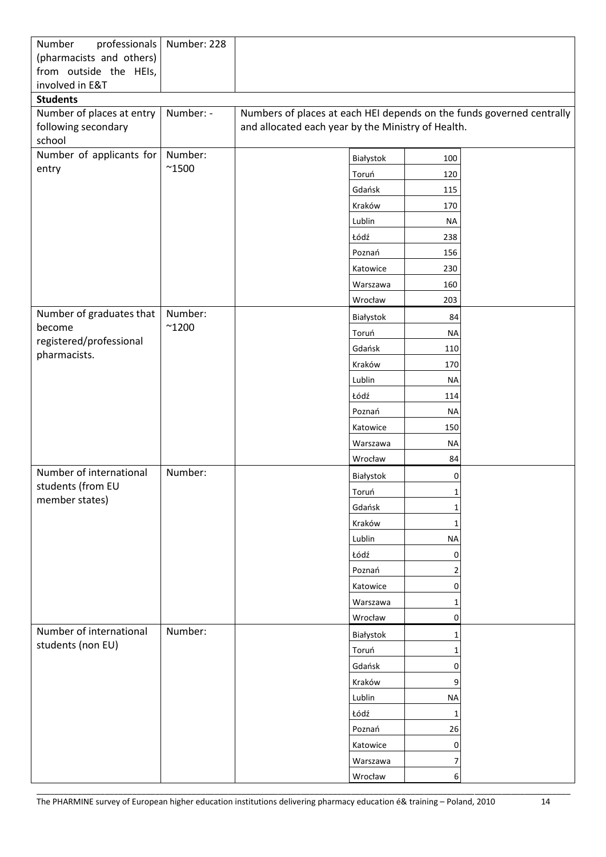| Number<br>professionals<br>(pharmacists and others)<br>from outside the HEIs, | Number: 228    |                                                                                                                             |              |  |
|-------------------------------------------------------------------------------|----------------|-----------------------------------------------------------------------------------------------------------------------------|--------------|--|
| involved in E&T                                                               |                |                                                                                                                             |              |  |
| <b>Students</b>                                                               |                |                                                                                                                             |              |  |
| Number of places at entry<br>following secondary<br>school                    | Number: -      | Numbers of places at each HEI depends on the funds governed centrally<br>and allocated each year by the Ministry of Health. |              |  |
| Number of applicants for                                                      | Number:        | Białystok                                                                                                                   | 100          |  |
| entry                                                                         | $^{\sim}$ 1500 | Toruń                                                                                                                       | 120          |  |
|                                                                               |                | Gdańsk                                                                                                                      | 115          |  |
|                                                                               |                | Kraków                                                                                                                      | 170          |  |
|                                                                               |                | Lublin                                                                                                                      | NА           |  |
|                                                                               |                | Łódź                                                                                                                        | 238          |  |
|                                                                               |                | Poznań                                                                                                                      | 156          |  |
|                                                                               |                | Katowice                                                                                                                    | 230          |  |
|                                                                               |                | Warszawa                                                                                                                    | 160          |  |
|                                                                               |                | Wrocław                                                                                                                     | 203          |  |
| Number of graduates that                                                      | Number:        | Białystok                                                                                                                   | 84           |  |
| become                                                                        | $^{\sim}$ 1200 | Toruń                                                                                                                       | <b>NA</b>    |  |
| registered/professional                                                       |                | Gdańsk                                                                                                                      | 110          |  |
| pharmacists.                                                                  |                | Kraków                                                                                                                      | 170          |  |
|                                                                               |                | Lublin                                                                                                                      | <b>NA</b>    |  |
|                                                                               |                | Łódź                                                                                                                        | 114          |  |
|                                                                               |                | Poznań                                                                                                                      | <b>NA</b>    |  |
|                                                                               |                | Katowice                                                                                                                    | 150          |  |
|                                                                               |                | Warszawa                                                                                                                    | <b>NA</b>    |  |
|                                                                               |                | Wrocław                                                                                                                     | 84           |  |
| Number of international                                                       | Number:        | Białystok                                                                                                                   | 0            |  |
| students (from EU                                                             |                | Toruń                                                                                                                       | $\mathbf 1$  |  |
| member states)                                                                |                | Gdańsk                                                                                                                      | 1            |  |
|                                                                               |                | Kraków                                                                                                                      | 1            |  |
|                                                                               |                | Lublin                                                                                                                      | <b>NA</b>    |  |
|                                                                               |                | Łódź                                                                                                                        | 0            |  |
|                                                                               |                | Poznań                                                                                                                      | 2            |  |
|                                                                               |                | Katowice                                                                                                                    | 0            |  |
|                                                                               |                | Warszawa                                                                                                                    | 1            |  |
|                                                                               |                | Wrocław                                                                                                                     | 0            |  |
| Number of international                                                       | Number:        | Białystok                                                                                                                   | $\mathbf{1}$ |  |
| students (non EU)                                                             |                | Toruń                                                                                                                       | 1            |  |
|                                                                               |                | Gdańsk                                                                                                                      | 0            |  |
|                                                                               |                | Kraków                                                                                                                      | 9            |  |
|                                                                               |                | Lublin                                                                                                                      | <b>NA</b>    |  |
|                                                                               |                | Łódź                                                                                                                        | 1            |  |
|                                                                               |                | Poznań                                                                                                                      | 26           |  |
|                                                                               |                | Katowice                                                                                                                    | 0            |  |
|                                                                               |                | Warszawa                                                                                                                    | 7            |  |
|                                                                               |                | Wrocław                                                                                                                     | 6            |  |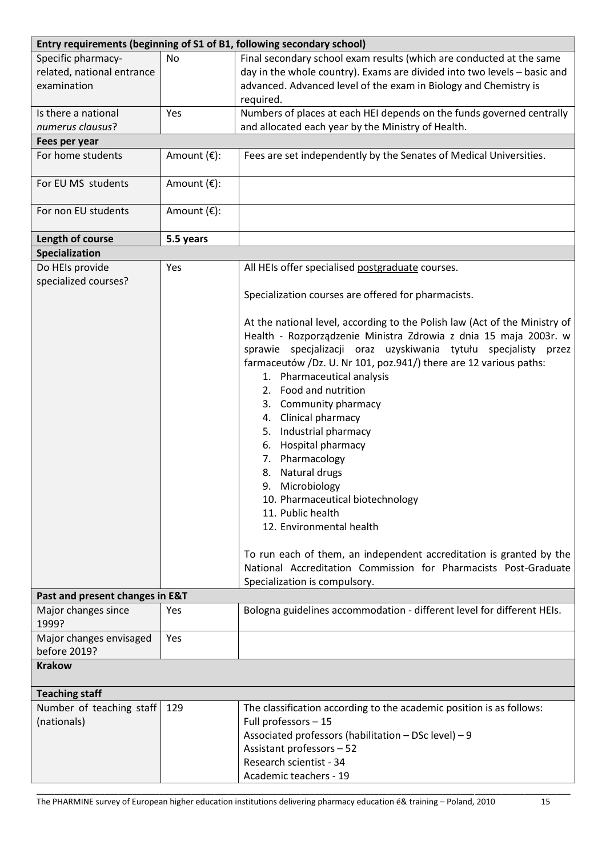|                                                                 | Entry requirements (beginning of S1 of B1, following secondary school) |                                                                                                                                                                                                                                                                                                                                                                                                                                                                                                                                                                                                                                   |  |  |  |  |
|-----------------------------------------------------------------|------------------------------------------------------------------------|-----------------------------------------------------------------------------------------------------------------------------------------------------------------------------------------------------------------------------------------------------------------------------------------------------------------------------------------------------------------------------------------------------------------------------------------------------------------------------------------------------------------------------------------------------------------------------------------------------------------------------------|--|--|--|--|
| Specific pharmacy-<br>related, national entrance<br>examination | No                                                                     | Final secondary school exam results (which are conducted at the same<br>day in the whole country). Exams are divided into two levels - basic and<br>advanced. Advanced level of the exam in Biology and Chemistry is<br>required.                                                                                                                                                                                                                                                                                                                                                                                                 |  |  |  |  |
| Is there a national                                             | Yes                                                                    | Numbers of places at each HEI depends on the funds governed centrally                                                                                                                                                                                                                                                                                                                                                                                                                                                                                                                                                             |  |  |  |  |
| numerus clausus?                                                |                                                                        | and allocated each year by the Ministry of Health.                                                                                                                                                                                                                                                                                                                                                                                                                                                                                                                                                                                |  |  |  |  |
| Fees per year                                                   |                                                                        |                                                                                                                                                                                                                                                                                                                                                                                                                                                                                                                                                                                                                                   |  |  |  |  |
| For home students                                               | Amount $(\epsilon)$ :                                                  | Fees are set independently by the Senates of Medical Universities.                                                                                                                                                                                                                                                                                                                                                                                                                                                                                                                                                                |  |  |  |  |
| For EU MS students                                              | Amount $(\epsilon)$ :                                                  |                                                                                                                                                                                                                                                                                                                                                                                                                                                                                                                                                                                                                                   |  |  |  |  |
| For non EU students                                             | Amount $(\epsilon)$ :                                                  |                                                                                                                                                                                                                                                                                                                                                                                                                                                                                                                                                                                                                                   |  |  |  |  |
| Length of course                                                | 5.5 years                                                              |                                                                                                                                                                                                                                                                                                                                                                                                                                                                                                                                                                                                                                   |  |  |  |  |
| <b>Specialization</b>                                           |                                                                        |                                                                                                                                                                                                                                                                                                                                                                                                                                                                                                                                                                                                                                   |  |  |  |  |
| Do HEIs provide<br>specialized courses?                         | Yes                                                                    | All HEIs offer specialised postgraduate courses.<br>Specialization courses are offered for pharmacists.<br>At the national level, according to the Polish law (Act of the Ministry of<br>Health - Rozporządzenie Ministra Zdrowia z dnia 15 maja 2003r. w                                                                                                                                                                                                                                                                                                                                                                         |  |  |  |  |
| Past and present changes in E&T                                 |                                                                        | sprawie specjalizacji oraz uzyskiwania tytułu specjalisty przez<br>farmaceutów /Dz. U. Nr 101, poz.941/) there are 12 various paths:<br>1. Pharmaceutical analysis<br>2. Food and nutrition<br>3. Community pharmacy<br>4. Clinical pharmacy<br>Industrial pharmacy<br>5.<br>Hospital pharmacy<br>6.<br>7. Pharmacology<br>Natural drugs<br>8.<br>9. Microbiology<br>10. Pharmaceutical biotechnology<br>11. Public health<br>12. Environmental health<br>To run each of them, an independent accreditation is granted by the<br>National Accreditation Commission for Pharmacists Post-Graduate<br>Specialization is compulsory. |  |  |  |  |
| Major changes since                                             | Yes                                                                    | Bologna guidelines accommodation - different level for different HEIs.                                                                                                                                                                                                                                                                                                                                                                                                                                                                                                                                                            |  |  |  |  |
| 1999?                                                           |                                                                        |                                                                                                                                                                                                                                                                                                                                                                                                                                                                                                                                                                                                                                   |  |  |  |  |
| Major changes envisaged<br>before 2019?                         | Yes                                                                    |                                                                                                                                                                                                                                                                                                                                                                                                                                                                                                                                                                                                                                   |  |  |  |  |
| <b>Krakow</b>                                                   |                                                                        |                                                                                                                                                                                                                                                                                                                                                                                                                                                                                                                                                                                                                                   |  |  |  |  |
| <b>Teaching staff</b>                                           |                                                                        |                                                                                                                                                                                                                                                                                                                                                                                                                                                                                                                                                                                                                                   |  |  |  |  |
| Number of teaching staff<br>(nationals)                         | 129                                                                    | The classification according to the academic position is as follows:<br>Full professors - 15<br>Associated professors (habilitation - DSc level) - 9                                                                                                                                                                                                                                                                                                                                                                                                                                                                              |  |  |  |  |
|                                                                 |                                                                        | Assistant professors - 52                                                                                                                                                                                                                                                                                                                                                                                                                                                                                                                                                                                                         |  |  |  |  |
|                                                                 |                                                                        | Research scientist - 34                                                                                                                                                                                                                                                                                                                                                                                                                                                                                                                                                                                                           |  |  |  |  |
|                                                                 |                                                                        | Academic teachers - 19                                                                                                                                                                                                                                                                                                                                                                                                                                                                                                                                                                                                            |  |  |  |  |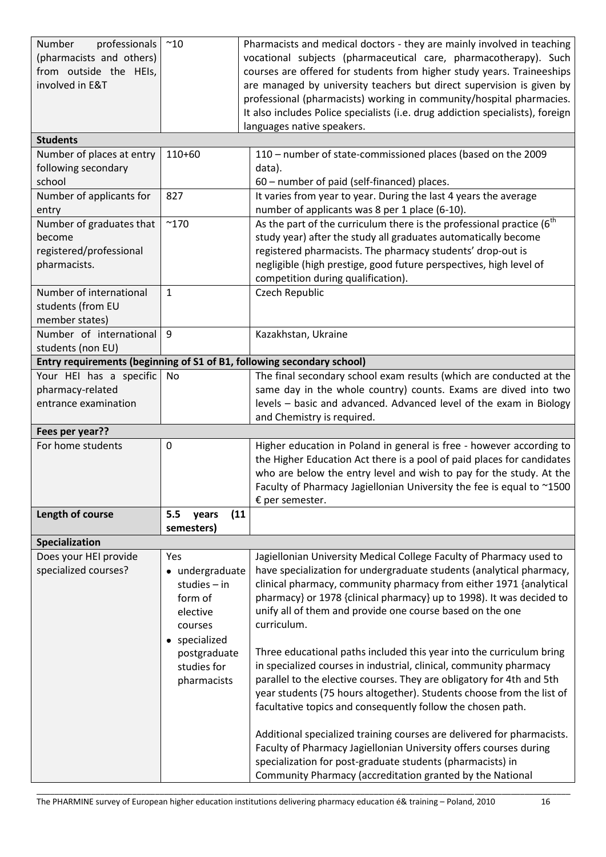| Number<br>professionals                                                                     | $^{\sim}10$          | Pharmacists and medical doctors - they are mainly involved in teaching                                                                      |
|---------------------------------------------------------------------------------------------|----------------------|---------------------------------------------------------------------------------------------------------------------------------------------|
| (pharmacists and others)                                                                    |                      | vocational subjects (pharmaceutical care, pharmacotherapy). Such                                                                            |
| from outside the HEIs,                                                                      |                      | courses are offered for students from higher study years. Traineeships                                                                      |
| involved in E&T                                                                             |                      | are managed by university teachers but direct supervision is given by                                                                       |
|                                                                                             |                      | professional (pharmacists) working in community/hospital pharmacies.                                                                        |
|                                                                                             |                      | It also includes Police specialists (i.e. drug addiction specialists), foreign                                                              |
|                                                                                             |                      | languages native speakers.                                                                                                                  |
| <b>Students</b>                                                                             |                      |                                                                                                                                             |
| Number of places at entry                                                                   | 110+60               | 110 - number of state-commissioned places (based on the 2009                                                                                |
| following secondary                                                                         |                      | data).                                                                                                                                      |
| school                                                                                      |                      | 60 - number of paid (self-financed) places.                                                                                                 |
| Number of applicants for                                                                    | 827                  | It varies from year to year. During the last 4 years the average                                                                            |
| entry                                                                                       |                      | number of applicants was 8 per 1 place (6-10).                                                                                              |
| Number of graduates that                                                                    | $^{\sim}$ 170        | As the part of the curriculum there is the professional practice $(6^{th}$                                                                  |
| become                                                                                      |                      | study year) after the study all graduates automatically become                                                                              |
| registered/professional                                                                     |                      | registered pharmacists. The pharmacy students' drop-out is                                                                                  |
| pharmacists.                                                                                |                      | negligible (high prestige, good future perspectives, high level of                                                                          |
|                                                                                             |                      | competition during qualification).                                                                                                          |
| Number of international                                                                     | $\mathbf{1}$         | <b>Czech Republic</b>                                                                                                                       |
| students (from EU                                                                           |                      |                                                                                                                                             |
| member states)<br>Number of international                                                   |                      |                                                                                                                                             |
|                                                                                             | 9                    | Kazakhstan, Ukraine                                                                                                                         |
| students (non EU)<br>Entry requirements (beginning of S1 of B1, following secondary school) |                      |                                                                                                                                             |
| Your HEI has a specific                                                                     | No                   | The final secondary school exam results (which are conducted at the                                                                         |
| pharmacy-related                                                                            |                      | same day in the whole country) counts. Exams are dived into two                                                                             |
| entrance examination                                                                        |                      | levels - basic and advanced. Advanced level of the exam in Biology                                                                          |
|                                                                                             |                      | and Chemistry is required.                                                                                                                  |
| Fees per year??                                                                             |                      |                                                                                                                                             |
| For home students                                                                           | 0                    | Higher education in Poland in general is free - however according to                                                                        |
|                                                                                             |                      | the Higher Education Act there is a pool of paid places for candidates                                                                      |
|                                                                                             |                      | who are below the entry level and wish to pay for the study. At the                                                                         |
|                                                                                             |                      | Faculty of Pharmacy Jagiellonian University the fee is equal to ~1500                                                                       |
|                                                                                             |                      | $E$ per semester.                                                                                                                           |
| Length of course                                                                            | 5.5<br>(11)<br>years |                                                                                                                                             |
|                                                                                             | semesters)           |                                                                                                                                             |
| Specialization                                                                              |                      |                                                                                                                                             |
| Does your HEI provide                                                                       | Yes                  | Jagiellonian University Medical College Faculty of Pharmacy used to                                                                         |
| specialized courses?                                                                        | • undergraduate      | have specialization for undergraduate students (analytical pharmacy,                                                                        |
|                                                                                             | studies $-$ in       | clinical pharmacy, community pharmacy from either 1971 {analytical                                                                          |
|                                                                                             | form of              | pharmacy} or 1978 {clinical pharmacy} up to 1998). It was decided to                                                                        |
|                                                                                             | elective             | unify all of them and provide one course based on the one                                                                                   |
|                                                                                             | courses              | curriculum.                                                                                                                                 |
|                                                                                             | • specialized        |                                                                                                                                             |
|                                                                                             | postgraduate         | Three educational paths included this year into the curriculum bring                                                                        |
|                                                                                             | studies for          | in specialized courses in industrial, clinical, community pharmacy<br>parallel to the elective courses. They are obligatory for 4th and 5th |
|                                                                                             | pharmacists          | year students (75 hours altogether). Students choose from the list of                                                                       |
|                                                                                             |                      | facultative topics and consequently follow the chosen path.                                                                                 |
|                                                                                             |                      |                                                                                                                                             |
|                                                                                             |                      | Additional specialized training courses are delivered for pharmacists.                                                                      |
|                                                                                             |                      | Faculty of Pharmacy Jagiellonian University offers courses during                                                                           |
|                                                                                             |                      | specialization for post-graduate students (pharmacists) in                                                                                  |
|                                                                                             |                      | Community Pharmacy (accreditation granted by the National                                                                                   |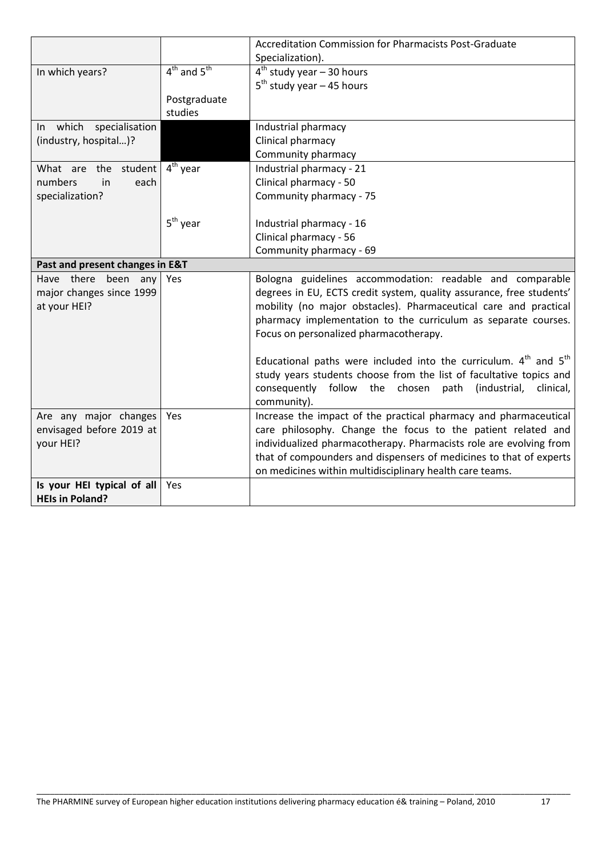|                                 |                                 | Accreditation Commission for Pharmacists Post-Graduate                    |
|---------------------------------|---------------------------------|---------------------------------------------------------------------------|
|                                 |                                 | Specialization).                                                          |
| In which years?                 | $4^{th}$ and $5^{th}$           | $4th$ study year – 30 hours                                               |
|                                 |                                 | $5th$ study year – 45 hours                                               |
|                                 | Postgraduate                    |                                                                           |
|                                 | studies                         |                                                                           |
| In which specialisation         |                                 | Industrial pharmacy                                                       |
| (industry, hospital)?           |                                 | Clinical pharmacy                                                         |
|                                 |                                 | Community pharmacy                                                        |
| What are the student            | $\overline{4}^{\text{th}}$ year | Industrial pharmacy - 21                                                  |
| numbers<br>in<br>each           |                                 | Clinical pharmacy - 50                                                    |
| specialization?                 |                                 | Community pharmacy - 75                                                   |
|                                 |                                 |                                                                           |
|                                 | $5th$ year                      | Industrial pharmacy - 16                                                  |
|                                 |                                 | Clinical pharmacy - 56                                                    |
|                                 |                                 | Community pharmacy - 69                                                   |
| Past and present changes in E&T |                                 |                                                                           |
| Have there been any             | Yes                             | Bologna guidelines accommodation: readable and comparable                 |
| major changes since 1999        |                                 | degrees in EU, ECTS credit system, quality assurance, free students'      |
| at your HEI?                    |                                 | mobility (no major obstacles). Pharmaceutical care and practical          |
|                                 |                                 | pharmacy implementation to the curriculum as separate courses.            |
|                                 |                                 | Focus on personalized pharmacotherapy.                                    |
|                                 |                                 |                                                                           |
|                                 |                                 | Educational paths were included into the curriculum. $4th$ and $5th$      |
|                                 |                                 | study years students choose from the list of facultative topics and       |
|                                 |                                 | consequently follow<br>the<br>chosen<br>path<br>(industrial,<br>clinical, |
|                                 |                                 | community).                                                               |
| Are any major changes           | Yes                             | Increase the impact of the practical pharmacy and pharmaceutical          |
| envisaged before 2019 at        |                                 | care philosophy. Change the focus to the patient related and              |
| your HEI?                       |                                 | individualized pharmacotherapy. Pharmacists role are evolving from        |
|                                 |                                 | that of compounders and dispensers of medicines to that of experts        |
|                                 |                                 | on medicines within multidisciplinary health care teams.                  |
| Is your HEI typical of all      | Yes                             |                                                                           |
| <b>HEIs in Poland?</b>          |                                 |                                                                           |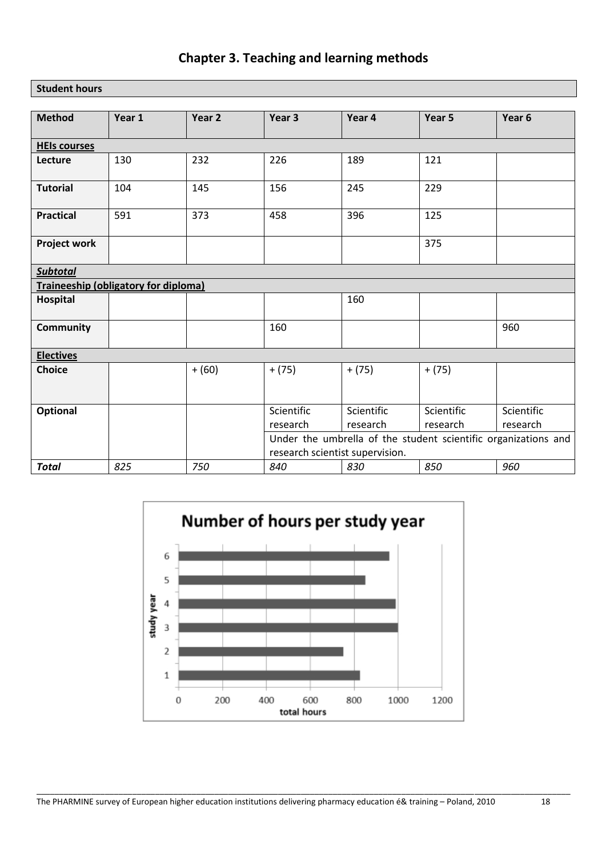## **Chapter 3. Teaching and learning methods**

**Student hours**

| <b>Method</b>                        | Year 1 | Year 2   | Year 3                                                         | Year 4                          | Year 5                 | Year 6                 |  |  |
|--------------------------------------|--------|----------|----------------------------------------------------------------|---------------------------------|------------------------|------------------------|--|--|
| <b>HEIs courses</b>                  |        |          |                                                                |                                 |                        |                        |  |  |
| Lecture                              | 130    | 232      | 226                                                            | 189                             | 121                    |                        |  |  |
| <b>Tutorial</b>                      | 104    | 145      | 156                                                            | 245                             | 229                    |                        |  |  |
| <b>Practical</b>                     | 591    | 373      | 458                                                            | 396                             | 125                    |                        |  |  |
| <b>Project work</b>                  |        |          |                                                                |                                 | 375                    |                        |  |  |
| <b>Subtotal</b>                      |        |          |                                                                |                                 |                        |                        |  |  |
| Traineeship (obligatory for diploma) |        |          |                                                                |                                 |                        |                        |  |  |
| Hospital                             |        |          |                                                                | 160                             |                        |                        |  |  |
| Community                            |        |          | 160                                                            |                                 |                        | 960                    |  |  |
| <b>Electives</b>                     |        |          |                                                                |                                 |                        |                        |  |  |
| <b>Choice</b>                        |        | $+ (60)$ | $+ (75)$                                                       | $+ (75)$                        | $+ (75)$               |                        |  |  |
| Optional                             |        |          | Scientific<br>research                                         | Scientific<br>research          | Scientific<br>research | Scientific<br>research |  |  |
|                                      |        |          | Under the umbrella of the student scientific organizations and |                                 |                        |                        |  |  |
|                                      |        |          |                                                                | research scientist supervision. |                        |                        |  |  |
| <b>Total</b>                         | 825    | 750      | 840                                                            | 830                             | 850                    | 960                    |  |  |

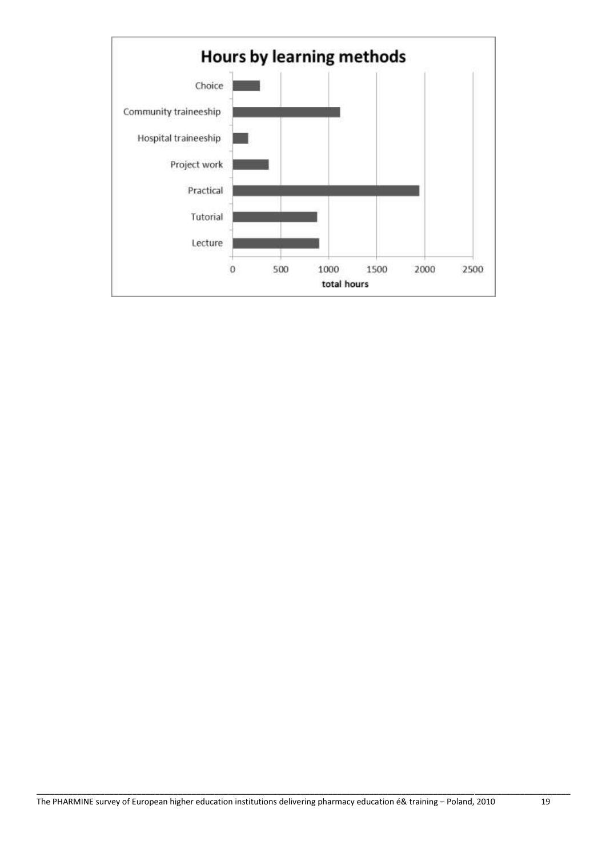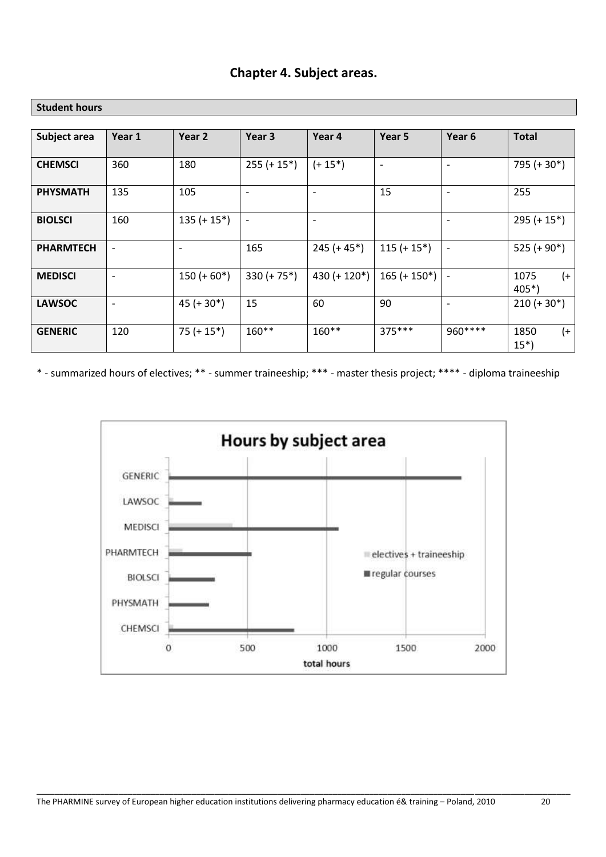| Subject area     | Year 1                   | Year 2                   | Year 3                   | Year 4                   | Year 5                   | Year 6                   | <b>Total</b>             |
|------------------|--------------------------|--------------------------|--------------------------|--------------------------|--------------------------|--------------------------|--------------------------|
|                  |                          |                          |                          |                          |                          |                          |                          |
| <b>CHEMSCI</b>   | 360                      | 180                      | $255 (+ 15^*)$           | $(+ 15^*)$               | $\overline{\phantom{0}}$ | $\overline{\phantom{0}}$ | 795 (+ 30*)              |
| <b>PHYSMATH</b>  | 135                      | 105                      | $\overline{\phantom{a}}$ | $\overline{\phantom{a}}$ | 15                       | $\overline{\phantom{a}}$ | 255                      |
| <b>BIOLSCI</b>   | 160                      | $135 (+ 15^*)$           | $\overline{\phantom{a}}$ | $\overline{\phantom{a}}$ |                          | $\overline{\phantom{0}}$ | $295 (+ 15^*)$           |
| <b>PHARMTECH</b> | $\overline{\phantom{a}}$ | $\overline{\phantom{a}}$ | 165                      | $245 (+ 45^*)$           | $115 (+ 15^*)$           | $\overline{\phantom{a}}$ | $525 (+ 90*)$            |
| <b>MEDISCI</b>   | $\overline{\phantom{a}}$ | $150 (+ 60*)$            | $330 (+ 75^*)$           | 430 (+ $120^*$ )         | $165 (+ 150*)$           | $\overline{\phantom{a}}$ | $(+)$<br>1075<br>$405*)$ |
| <b>LAWSOC</b>    | $\overline{\phantom{a}}$ | $45 (+ 30*)$             | 15                       | 60                       | 90                       | $\overline{\phantom{a}}$ | $210 (+ 30*)$            |
| <b>GENERIC</b>   | 120                      | $75 (+ 15*)$             | $160**$                  | $160**$                  | 375***                   | 960****                  | $(+)$<br>1850<br>$15*)$  |

### **Chapter 4. Subject areas.**

**Student hours**

\* - summarized hours of electives; \*\* - summer traineeship; \*\*\* - master thesis project; \*\*\*\* - diploma traineeship

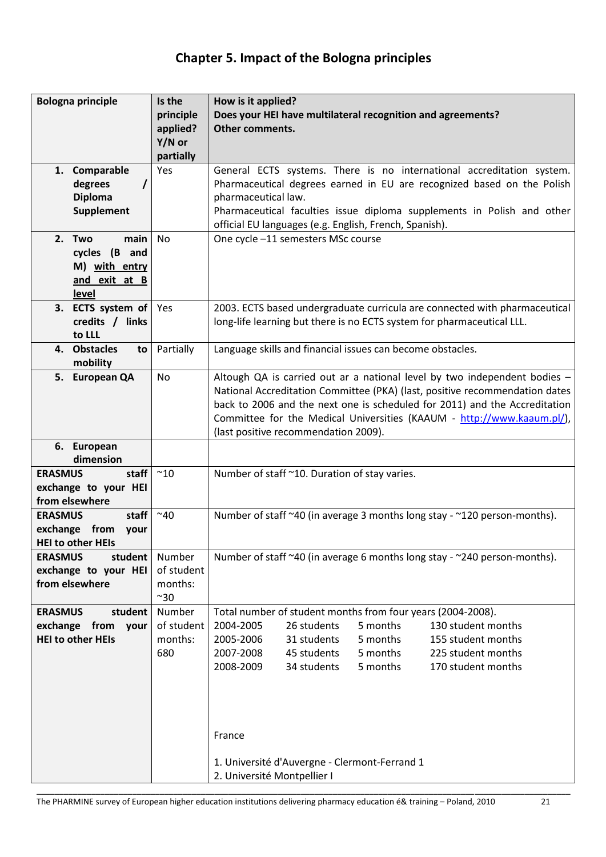## **Chapter 5. Impact of the Bologna principles**

| <b>Bologna principle</b>                          | Is the<br>principle                  | How is it applied?<br>Does your HEI have multilateral recognition and agreements?                                                                         |
|---------------------------------------------------|--------------------------------------|-----------------------------------------------------------------------------------------------------------------------------------------------------------|
|                                                   | applied?                             | <b>Other comments.</b>                                                                                                                                    |
|                                                   | Y/N or<br>partially                  |                                                                                                                                                           |
| 1. Comparable                                     | Yes                                  | General ECTS systems. There is no international accreditation system.                                                                                     |
| degrees<br><b>Diploma</b>                         |                                      | Pharmaceutical degrees earned in EU are recognized based on the Polish<br>pharmaceutical law.                                                             |
| Supplement                                        |                                      | Pharmaceutical faculties issue diploma supplements in Polish and other<br>official EU languages (e.g. English, French, Spanish).                          |
| main<br>2. Two                                    | No                                   | One cycle -11 semesters MSc course                                                                                                                        |
| cycles (B and<br>M) with entry                    |                                      |                                                                                                                                                           |
| and exit at B                                     |                                      |                                                                                                                                                           |
| level                                             |                                      |                                                                                                                                                           |
| 3. ECTS system of<br>credits / links              | Yes                                  | 2003. ECTS based undergraduate curricula are connected with pharmaceutical<br>long-life learning but there is no ECTS system for pharmaceutical LLL.      |
| to LLL                                            |                                      |                                                                                                                                                           |
| 4. Obstacles<br>to<br>mobility                    | Partially                            | Language skills and financial issues can become obstacles.                                                                                                |
| 5. European QA                                    | <b>No</b>                            | Altough QA is carried out ar a national level by two independent bodies -                                                                                 |
|                                                   |                                      | National Accreditation Committee (PKA) (last, positive recommendation dates<br>back to 2006 and the next one is scheduled for 2011) and the Accreditation |
|                                                   |                                      | Committee for the Medical Universities (KAAUM - http://www.kaaum.pl/),                                                                                    |
|                                                   |                                      | (last positive recommendation 2009).                                                                                                                      |
| 6. European<br>dimension                          |                                      |                                                                                                                                                           |
| <b>ERASMUS</b><br>staff<br>exchange to your HEI   | $~^{\sim}10$                         | Number of staff ~10. Duration of stay varies.                                                                                                             |
| from elsewhere                                    |                                      |                                                                                                                                                           |
| staff<br><b>ERASMUS</b>                           | $~^{\sim}40$                         | Number of staff ~40 (in average 3 months long stay - ~120 person-months).                                                                                 |
| exchange from<br>your<br><b>HEI to other HEIs</b> |                                      |                                                                                                                                                           |
| student<br><b>ERASMUS</b>                         | Number                               | Number of staff ~40 (in average 6 months long stay - ~240 person-months).                                                                                 |
| exchange to your HEI<br>from elsewhere            | of student<br>months:<br>$^{\sim}30$ |                                                                                                                                                           |
| <b>ERASMUS</b><br>student                         | Number                               | Total number of student months from four years (2004-2008).                                                                                               |
| exchange from<br>your                             | of student                           | 26 students<br>5 months<br>130 student months<br>2004-2005                                                                                                |
| <b>HEI to other HEIs</b>                          | months:<br>680                       | 5 months<br>2005-2006<br>31 students<br>155 student months<br>2007-2008<br>45 students<br>5 months<br>225 student months                                  |
|                                                   |                                      | 5 months<br>2008-2009<br>34 students<br>170 student months                                                                                                |
|                                                   |                                      |                                                                                                                                                           |
|                                                   |                                      |                                                                                                                                                           |
|                                                   |                                      |                                                                                                                                                           |
|                                                   |                                      | France                                                                                                                                                    |
|                                                   |                                      | 1. Université d'Auvergne - Clermont-Ferrand 1                                                                                                             |
|                                                   |                                      | 2. Université Montpellier I                                                                                                                               |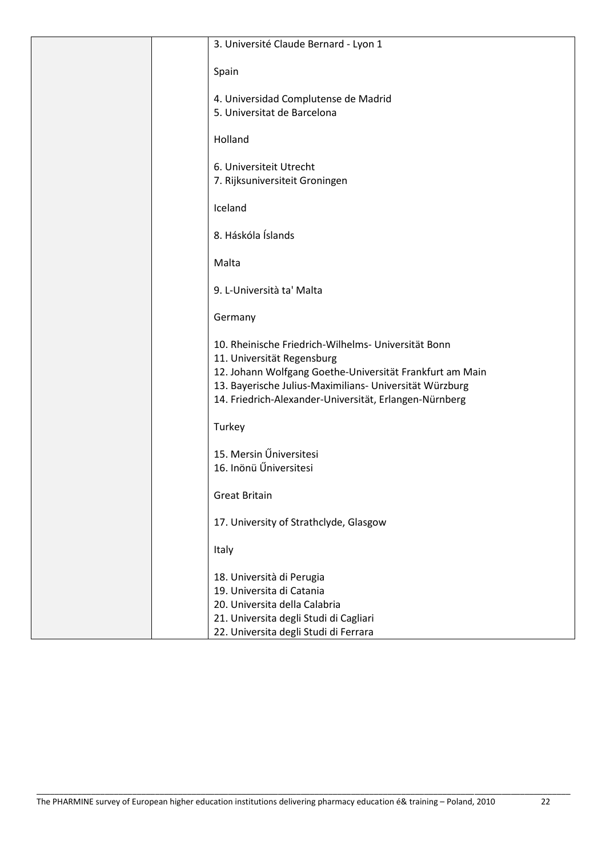| 3. Université Claude Bernard - Lyon 1                                                                                                                                                                                                                              |
|--------------------------------------------------------------------------------------------------------------------------------------------------------------------------------------------------------------------------------------------------------------------|
| Spain                                                                                                                                                                                                                                                              |
| 4. Universidad Complutense de Madrid<br>5. Universitat de Barcelona                                                                                                                                                                                                |
| Holland                                                                                                                                                                                                                                                            |
| 6. Universiteit Utrecht<br>7. Rijksuniversiteit Groningen                                                                                                                                                                                                          |
| Iceland                                                                                                                                                                                                                                                            |
| 8. Háskóla Íslands                                                                                                                                                                                                                                                 |
| Malta                                                                                                                                                                                                                                                              |
| 9. L-Università ta' Malta                                                                                                                                                                                                                                          |
| Germany                                                                                                                                                                                                                                                            |
| 10. Rheinische Friedrich-Wilhelms- Universität Bonn<br>11. Universität Regensburg<br>12. Johann Wolfgang Goethe-Universität Frankfurt am Main<br>13. Bayerische Julius-Maximilians- Universität Würzburg<br>14. Friedrich-Alexander-Universität, Erlangen-Nürnberg |
| Turkey                                                                                                                                                                                                                                                             |
| 15. Mersin Űniversitesi<br>16. Inönü Űniversitesi                                                                                                                                                                                                                  |
| <b>Great Britain</b>                                                                                                                                                                                                                                               |
| 17. University of Strathclyde, Glasgow                                                                                                                                                                                                                             |
| Italy                                                                                                                                                                                                                                                              |
| 18. Università di Perugia<br>19. Universita di Catania<br>20. Universita della Calabria                                                                                                                                                                            |
| 21. Universita degli Studi di Cagliari<br>22. Universita degli Studi di Ferrara                                                                                                                                                                                    |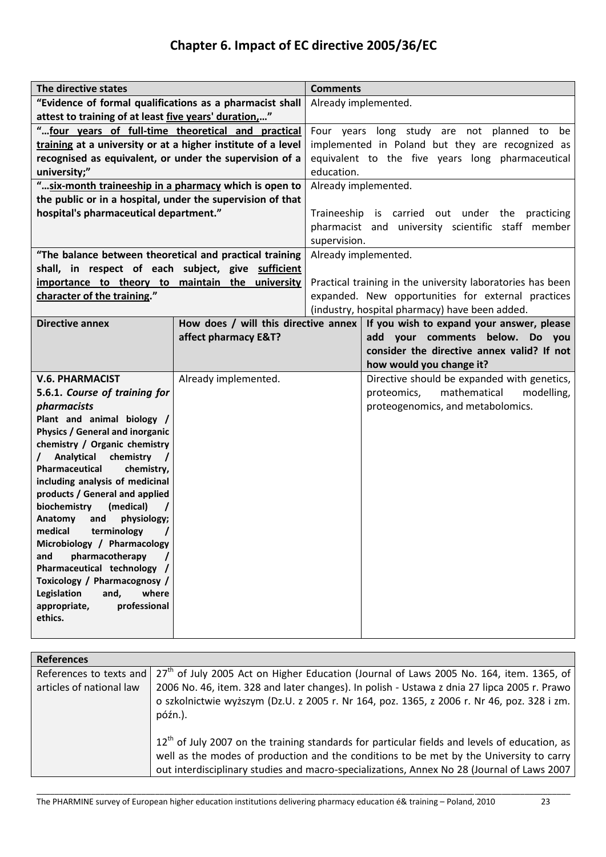# **Chapter 6. Impact of EC directive 2005/36/EC**

| The directive states                                         |                      | <b>Comments</b>                                            |                                                                                  |  |
|--------------------------------------------------------------|----------------------|------------------------------------------------------------|----------------------------------------------------------------------------------|--|
| "Evidence of formal qualifications as a pharmacist shall     |                      | Already implemented.                                       |                                                                                  |  |
| attest to training of at least five years' duration"         |                      |                                                            |                                                                                  |  |
| "four years of full-time theoretical and practical           |                      | Four years long study are not planned to be                |                                                                                  |  |
| training at a university or at a higher institute of a level |                      | implemented in Poland but they are recognized as           |                                                                                  |  |
| recognised as equivalent, or under the supervision of a      |                      | equivalent to the five years long pharmaceutical           |                                                                                  |  |
| university;"                                                 |                      | education.                                                 |                                                                                  |  |
| " six-month traineeship in a pharmacy which is open to       |                      | Already implemented.                                       |                                                                                  |  |
| the public or in a hospital, under the supervision of that   |                      |                                                            |                                                                                  |  |
| hospital's pharmaceutical department."                       |                      | Traineeship is carried out under the<br>practicing         |                                                                                  |  |
|                                                              |                      | pharmacist and university scientific staff member          |                                                                                  |  |
|                                                              |                      | supervision.                                               |                                                                                  |  |
| "The balance between theoretical and practical training      |                      |                                                            | Already implemented.                                                             |  |
| shall, in respect of each subject, give sufficient           |                      |                                                            |                                                                                  |  |
| importance to theory to maintain the university              |                      | Practical training in the university laboratories has been |                                                                                  |  |
| character of the training."                                  |                      | expanded. New opportunities for external practices         |                                                                                  |  |
|                                                              |                      |                                                            | (industry, hospital pharmacy) have been added.                                   |  |
| <b>Directive annex</b>                                       |                      |                                                            | How does / will this directive annex   If you wish to expand your answer, please |  |
|                                                              | affect pharmacy E&T? |                                                            | add your comments below.<br>Do you                                               |  |
|                                                              |                      |                                                            | consider the directive annex valid? If not                                       |  |
|                                                              |                      |                                                            | how would you change it?                                                         |  |
| <b>V.6. PHARMACIST</b>                                       | Already implemented. |                                                            | Directive should be expanded with genetics,                                      |  |
| 5.6.1. Course of training for                                |                      |                                                            | mathematical<br>modelling,<br>proteomics,                                        |  |
| pharmacists                                                  |                      |                                                            | proteogenomics, and metabolomics.                                                |  |
| Plant and animal biology /                                   |                      |                                                            |                                                                                  |  |
| <b>Physics / General and inorganic</b>                       |                      |                                                            |                                                                                  |  |
| chemistry / Organic chemistry<br>Analytical                  |                      |                                                            |                                                                                  |  |
| chemistry<br>Pharmaceutical<br>chemistry,                    |                      |                                                            |                                                                                  |  |
| including analysis of medicinal                              |                      |                                                            |                                                                                  |  |
| products / General and applied                               |                      |                                                            |                                                                                  |  |
| biochemistry<br>(medical)                                    |                      |                                                            |                                                                                  |  |
| physiology;<br>Anatomy<br>and                                |                      |                                                            |                                                                                  |  |
| medical<br>terminology                                       |                      |                                                            |                                                                                  |  |
| Microbiology / Pharmacology                                  |                      |                                                            |                                                                                  |  |
| and<br>pharmacotherapy                                       |                      |                                                            |                                                                                  |  |
| Pharmaceutical technology /                                  |                      |                                                            |                                                                                  |  |
| Toxicology / Pharmacognosy /                                 |                      |                                                            |                                                                                  |  |
| Legislation<br>and,<br>where<br>professional<br>appropriate, |                      |                                                            |                                                                                  |  |
| ethics.                                                      |                      |                                                            |                                                                                  |  |
|                                                              |                      |                                                            |                                                                                  |  |

| <b>References</b>        |                                                                                                                                                                                            |
|--------------------------|--------------------------------------------------------------------------------------------------------------------------------------------------------------------------------------------|
| References to texts and  | $27th$ of July 2005 Act on Higher Education (Journal of Laws 2005 No. 164, item. 1365, of                                                                                                  |
| articles of national law | 2006 No. 46, item. 328 and later changes). In polish - Ustawa z dnia 27 lipca 2005 r. Prawo                                                                                                |
|                          | o szkolnictwie wyższym (Dz.U. z 2005 r. Nr 164, poz. 1365, z 2006 r. Nr 46, poz. 328 i zm.<br>późn.).                                                                                      |
|                          | $12th$ of July 2007 on the training standards for particular fields and levels of education, as<br>well as the modes of production and the conditions to be met by the University to carry |
|                          | out interdisciplinary studies and macro-specializations, Annex No 28 (Journal of Laws 2007)                                                                                                |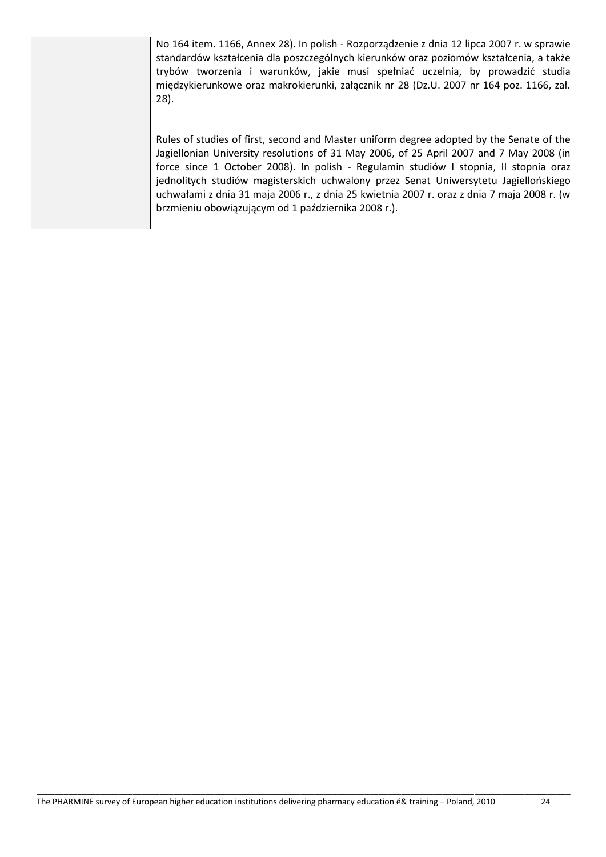| No 164 item. 1166, Annex 28). In polish - Rozporządzenie z dnia 12 lipca 2007 r. w sprawie<br>standardów kształcenia dla poszczególnych kierunków oraz poziomów kształcenia, a także<br>trybów tworzenia i warunków, jakie musi spełniać uczelnia, by prowadzić studia<br>międzykierunkowe oraz makrokierunki, załącznik nr 28 (Dz.U. 2007 nr 164 poz. 1166, zał.<br>$28$ ).                                                                                                                                              |
|---------------------------------------------------------------------------------------------------------------------------------------------------------------------------------------------------------------------------------------------------------------------------------------------------------------------------------------------------------------------------------------------------------------------------------------------------------------------------------------------------------------------------|
| Rules of studies of first, second and Master uniform degree adopted by the Senate of the<br>Jagiellonian University resolutions of 31 May 2006, of 25 April 2007 and 7 May 2008 (in<br>force since 1 October 2008). In polish - Regulamin studiów I stopnia, II stopnia oraz<br>jednolitych studiów magisterskich uchwalony przez Senat Uniwersytetu Jagiellońskiego<br>uchwałami z dnia 31 maja 2006 r., z dnia 25 kwietnia 2007 r. oraz z dnia 7 maja 2008 r. (w<br>brzmieniu obowiązującym od 1 października 2008 r.). |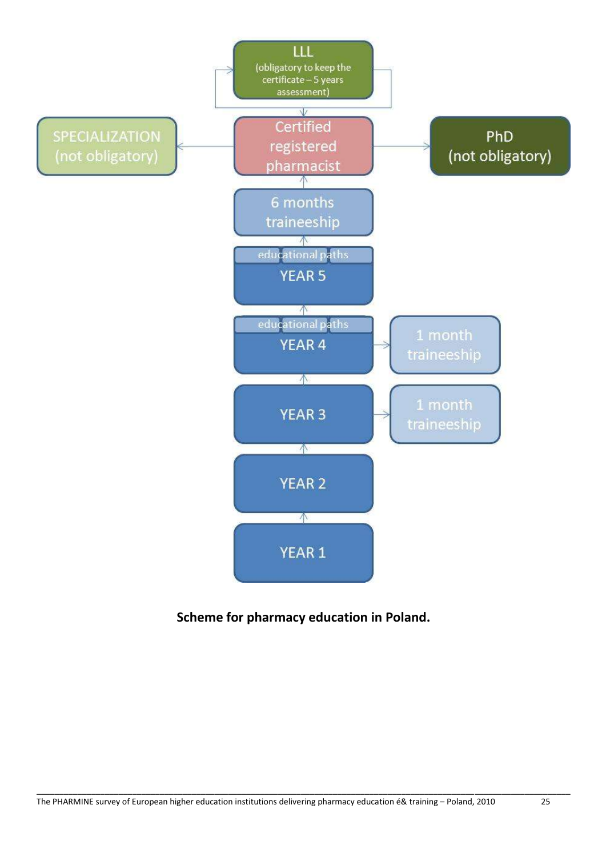

### **Scheme for pharmacy education in Poland.**